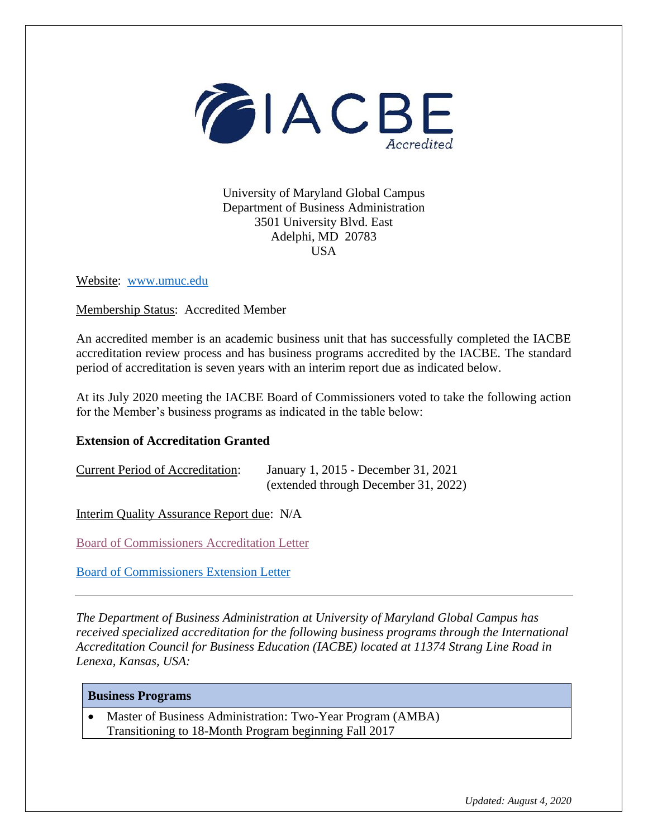

University of Maryland Global Campus Department of Business Administration 3501 University Blvd. East Adelphi, MD 20783 **USA** 

Website: [www.umuc.edu](http://www.umuc.edu/)

Membership Status: Accredited Member

An accredited member is an academic business unit that has successfully completed the IACBE accreditation review process and has business programs accredited by the IACBE. The standard period of accreditation is seven years with an interim report due as indicated below.

At its July 2020 meeting the IACBE Board of Commissioners voted to take the following action for the Member's business programs as indicated in the table below:

## **Extension of Accreditation Granted**

| <b>Current Period of Accreditation:</b> | January 1, 2015 - December 31, 2021  |  |
|-----------------------------------------|--------------------------------------|--|
|                                         | (extended through December 31, 2022) |  |

Interim Quality Assurance Report due: N/A

[Board of Commissioners Accreditation Letter](https://iacbe.org/memberpdf/BOCDecisionLetter-UniversityofMarylandUniversityCollege.pdf)

Board [of Commissioners Extension Letter](https://iacbe.org/memberpdf/BOCUnivOfMarylandGlobal-ExtensionJuly2020FINAL.pdf)

*The Department of Business Administration at University of Maryland Global Campus has received specialized accreditation for the following business programs through the International Accreditation Council for Business Education (IACBE) located at 11374 Strang Line Road in Lenexa, Kansas, USA:*

| <b>Business Programs</b> |
|--------------------------|
|                          |

• Master of Business Administration: Two-Year Program (AMBA) Transitioning to 18-Month Program beginning Fall 2017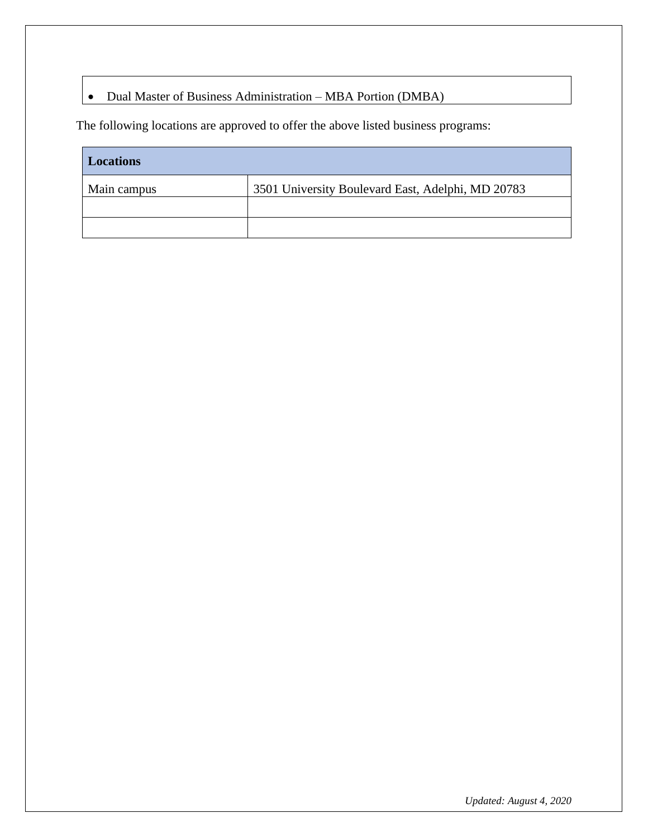## • Dual Master of Business Administration – MBA Portion (DMBA)

The following locations are approved to offer the above listed business programs:

| <b>Locations</b> |                                                   |
|------------------|---------------------------------------------------|
| Main campus      | 3501 University Boulevard East, Adelphi, MD 20783 |
|                  |                                                   |
|                  |                                                   |